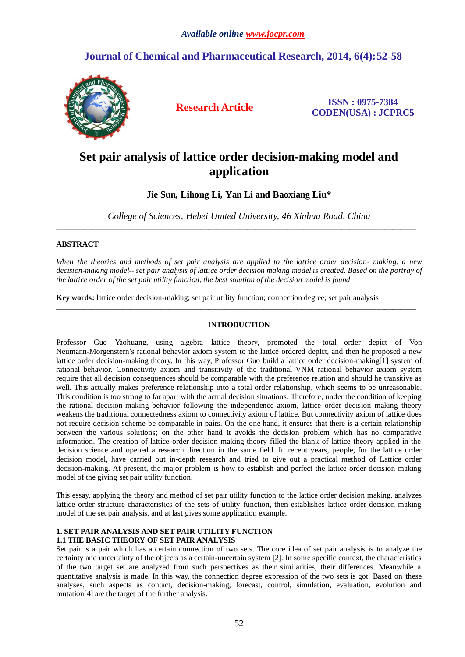# *Available online www.jocpr.com*

# **Journal of Chemical and Pharmaceutical Research, 2014, 6(4):52-58**



**Research Article ISSN : 0975-7384 CODEN(USA) : JCPRC5**

# **Set pair analysis of lattice order decision-making model and application**

**Jie Sun, Lihong Li, Yan Li and Baoxiang Liu\***

*College of Sciences, Hebei United University, 46 Xinhua Road, China* \_\_\_\_\_\_\_\_\_\_\_\_\_\_\_\_\_\_\_\_\_\_\_\_\_\_\_\_\_\_\_\_\_\_\_\_\_\_\_\_\_\_\_\_\_\_\_\_\_\_\_\_\_\_\_\_\_\_\_\_\_\_\_\_\_\_\_\_\_\_\_\_\_\_\_\_\_\_\_\_\_\_\_\_\_\_\_\_\_\_\_\_

# **ABSTRACT**

*When the theories and methods of set pair analysis are applied to the lattice order decision- making, a new decision-making model-- set pair analysis of lattice order decision making modelis created. Based on the portray of the lattice order of the set pair utility function, the best solution of the decision model is found.*

**Key words:** lattice order decision-making; set pair utility function; connection degree; set pair analysis

# **INTRODUCTION**

\_\_\_\_\_\_\_\_\_\_\_\_\_\_\_\_\_\_\_\_\_\_\_\_\_\_\_\_\_\_\_\_\_\_\_\_\_\_\_\_\_\_\_\_\_\_\_\_\_\_\_\_\_\_\_\_\_\_\_\_\_\_\_\_\_\_\_\_\_\_\_\_\_\_\_\_\_\_\_\_\_\_\_\_\_\_\_\_\_\_\_\_

Professor Guo Yaohuang, using algebra lattice theory, promoted the total order depict of Von Neumann-Morgenstern's rational behavior axiom system to the lattice ordered depict, and then he proposed a new lattice order decision-making theory. In this way, Professor Guo build a lattice order decision-making[1] system of rational behavior. Connectivity axiom and transitivity of the traditional VNM rational behavior axiom system require that all decision consequences should be comparable with the preference relation and should he transitive as well. This actually makes preference relationship into a total order relationship, which seems to be unreasonable. This condition is too strong to far apart with the actual decision situations. Therefore, under the condition of keeping the rational decision-making behavior following the independence axiom, lattice order decision making theory weakens the traditional connectedness axiom to connectivity axiom of lattice. But connectivity axiom of lattice does not require decision scheme be comparable in pairs. On the one hand, it ensures that there is a certain relationship between the various solutions; on the other hand it avoids the decision problem which has no comparative information. The creation of lattice order decision making theory filled the blank of lattice theory applied in the decision science and opened a research direction in the same field. In recent years, people, for the lattice order decision model, have carried out in-depth research and tried to give out a practical method of Lattice order decision-making. At present, the major problem is how to establish and perfect the lattice order decision making model of the giving set pair utility function.

This essay, applying the theory and method of set pair utility function to the lattice order decision making, analyzes lattice order structure characteristics of the sets of utility function, then establishes lattice order decision making model of the set pair analysis, and at last gives some application example.

# **1. SET PAIR ANALYSIS AND SET PAIR UTILITY FUNCTION 1.1 THE BASIC THEORY OF SET PAIR ANALYSIS**

Set pair is a pair which has a certain connection of two sets. The core idea of set pair analysis is to analyze the certainty and uncertainty of the objects as a certain-uncertain system [2]. In some specific context, the characteristics of the two target set are analyzed from such perspectives as their similarities, their differences. Meanwhile a quantitative analysis is made. In this way, the connection degree expression of the two sets is got. Based on these analyses, such aspects as contact, decision-making, forecast, control, simulation, evaluation, evolution and mutation[4] are the target of the further analysis.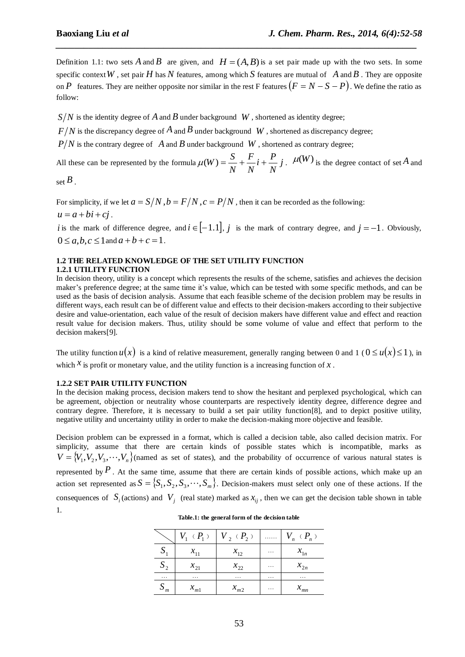Definition 1.1: two sets A and B are given, and  $H = (A, B)$  is a set pair made up with the two sets. In some specific context W, set pair H has N features, among which S features are mutual of A and B. They are opposite on P features. They are neither opposite nor similar in the rest F features  $(F = N - S - P)$ . We define the ratio as follow:

*\_\_\_\_\_\_\_\_\_\_\_\_\_\_\_\_\_\_\_\_\_\_\_\_\_\_\_\_\_\_\_\_\_\_\_\_\_\_\_\_\_\_\_\_\_\_\_\_\_\_\_\_\_\_\_\_\_\_\_\_\_\_\_\_\_\_\_\_\_\_\_\_\_\_\_\_\_*

 $S/N$  is the identity degree of  $A$  and  $B$  under background  $\;W$  , shortened as identity degree;

 $F/N$  is the discrepancy degree of  $A$  and  $B$  under background  $\,$   $W$  , shortened as discrepancy degree;

 $P/N$  is the contrary degree of A and B under background W, shortened as contrary degree;

All these can be represented by the formula  $\mu(W) = \frac{6}{11} + \frac{1}{11}i + \frac{1}{11}j$ *N*  $i + \frac{P}{I}$ *N F N*  $\mu(W) = \frac{S}{V} + \frac{F}{V}i + \frac{P}{V}j$ .  $\mu(W)$  is the degree contact of set A and

set *B* .

For simplicity, if we let  $a = S/N$ ,  $b = F/N$ ,  $c = P/N$ , then it can be recorded as the following:  $u = a + bi + ci$ .

*i* is the mark of difference degree, and  $i \in [-1,1], j$  is the mark of contrary degree, and  $j = -1$ . Obviously,  $0 \le a, b, c \le 1$  and  $a + b + c = 1$ .

# **1.2 THE RELATED KNOWLEDGE OF THE SET UTILITY FUNCTION 1.2.1 UTILITY FUNCTION**

In decision theory, utility is a concept which represents the results of the scheme, satisfies and achieves the decision maker's preference degree; at the same time it's value, which can be tested with some specific methods, and can be used as the basis of decision analysis. Assume that each feasible scheme of the decision problem may be results in different ways, each result can be of different value and effects to their decision-makers according to their subjective desire and value-orientation, each value of the result of decision makers have different value and effect and reaction result value for decision makers. Thus, utility should be some volume of value and effect that perform to the decision makers[9].

The utility function  $u(x)$  is a kind of relative measurement, generally ranging between 0 and 1 ( $0 \le u(x) \le 1$ ), in which  $\chi$  is profit or monetary value, and the utility function is a increasing function of  $\chi$ .

# **1.2.2 SET PAIR UTILITY FUNCTION**

In the decision making process, decision makers tend to show the hesitant and perplexed psychological, which can be agreement, objection or neutrality whose counterparts are respectively identity degree, difference degree and contrary degree. Therefore, it is necessary to build a set pair utility function[8], and to depict positive utility, negative utility and uncertainty utility in order to make the decision-making more objective and feasible.

Decision problem can be expressed in a format, which is called a decision table, also called decision matrix. For simplicity, assume that there are certain kinds of possible states which is incompatible, marks as  $V = \{V_1, V_2, V_3, \dots, V_n\}$  (named as set of states), and the probability of occurrence of various natural states is represented by  $P$ . At the same time, assume that there are certain kinds of possible actions, which make up an action set represented as  $S = \{S_1, S_2, S_3, \dots, S_m\}$ . Decision-makers must select only one of these actions. If the consequences of  $S_i$  (actions) and  $V_j$  (real state) marked as  $x_{ij}$ , then we can get the decision table shown in table 1.

|                  | $V_1$ ( $P_1$ ) | $V_2$ ( $P_2$ ) | . | $V_{n}$ ( $P_{n}$ ) |
|------------------|-----------------|-----------------|---|---------------------|
| $\boldsymbol{S}$ | $x_{11}$        | $x_{12}$        | . | $x_{1n}$            |
| $S_{2}$          | $x_{21}$        | $x_{22}$        | . | $x_{2n}$            |
| $\cdots$         | .               | .               | . | .                   |
| $S_m$            | $x_{m1}$        | $x_{m2}$        | . | $x_{mn}$            |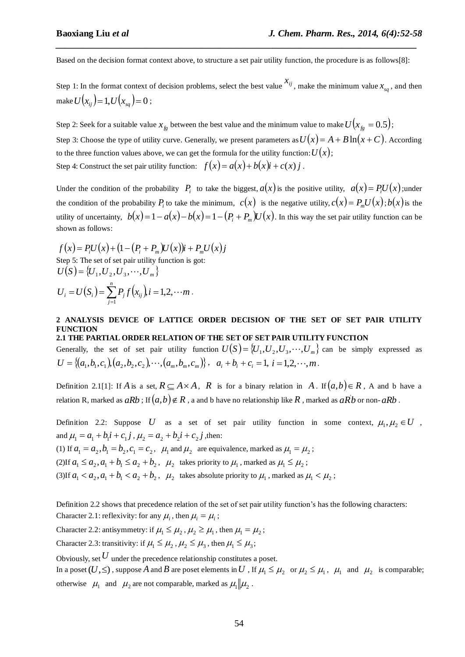Based on the decision format context above, to structure a set pair utility function, the procedure is as follows[8]:

*\_\_\_\_\_\_\_\_\_\_\_\_\_\_\_\_\_\_\_\_\_\_\_\_\_\_\_\_\_\_\_\_\_\_\_\_\_\_\_\_\_\_\_\_\_\_\_\_\_\_\_\_\_\_\_\_\_\_\_\_\_\_\_\_\_\_\_\_\_\_\_\_\_\_\_\_\_*

Step 1: In the format context of decision problems, select the best value  $x_{ij}$ , make the minimum value  $x_{sq}$ , and then make  $U\big(x_{ij}\big)$   $=$   $1, U\big(x_{sq}\big)$   $=$   $0$  ;

Step 2: Seek for a suitable value  $x_{fg}$  between the best value and the minimum value to make  $U(x_{fg} = 0.5)$ ; Step 3: Choose the type of utility curve. Generally, we present parameters as  $U(x) = A + B \ln(x + C)$ . According to the three function values above, we can get the formula for the utility function:  $U(x)$ ; Step 4: Construct the set pair utility function:  $f(x) = a(x) + b(x)i + c(x)j$ .

Under the condition of the probability  $P_i$  to take the biggest,  $a(x)$  is the positive utility,  $a(x) = P_iU(x)$ ; under the condition of the probability  $P_i$  to take the minimum,  $c(x)$  is the negative utility,  $c(x) = P_m U(x)$ ;  $b(x)$  is the utility of uncertainty,  $b(x)=1-a(x)-b(x)=1-(P_i+P_m)U(x)$ . In this way the set pair utility function can be shown as follows:

 $f(x) = P_i U(x) + (1 - (P_i + P_m)U(x))i + P_m U(x)j$ Step 5: The set of set pair utility function is got:  $U(S) = \{U_1, U_2, U_3, \cdots, U_m\}$ *n*

$$
U_i = U(S_i) = \sum_{j=1}^{n} P_j f(x_{ij}), i = 1, 2, \cdots m.
$$

# **2 ANALYSIS DEVICE OF LATTICE ORDER DECISION OF THE SET OF SET PAIR UTILITY FUNCTION 2.1 THE PARTIAL ORDER RELATION OF THE SET OF SET PAIR UTILITY FUNCTION**

Generally, the set of set pair utility function  $U(S) = \{U_1, U_2, U_3, \dots, U_m\}$  can be simply expressed as  $U = \{(a_1, b_1, c_1), (a_2, b_2, c_2), \cdots, (a_m, b_m, c_m)\}, \quad a_i + b_i + c_i = 1, i = 1, 2, \cdots, m$ .

Definition 2.1[1]: If A is a set,  $R \subseteq A \times A$ , R is for a binary relation in A. If  $(a,b) \in R$ , A and b have a relation R, marked as  $aRb$  ; If  $(a,b)\!\notin R$  , a and b have no relationship like  $R$  , marked as  $a\vec{Rb}$  or non-  $aRb$  .

Definition 2.2: Suppose U as a set of set pair utility function in some context,  $\mu_1, \mu_2 \in U$ , and  $\mu_1 = a_1 + b_1 i + c_1 j$ ,  $\mu_2 = a_2 + b_2 i + c_2 j$ , then:

(1) If  $a_1 = a_2$ ,  $b_1 = b_2$ ,  $c_1 = c_2$ ,  $\mu_1$  and  $\mu_2$  are equivalence, marked as  $\mu_1 = \mu_2$ ;

(2)If  $a_1 \le a_2$ ,  $a_1 + b_1 \le a_2 + b_2$ ,  $\mu_2$  takes priority to  $\mu_1$ , marked as  $\mu_1 \le \mu_2$ ;

(3)If  $a_1 < a_2$ ,  $a_1 + b_1 < a_2 + b_2$ ,  $\mu_2$  takes absolute priority to  $\mu_1$ , marked as  $\mu_1 < \mu_2$ ;

Definition 2.2 shows that precedence relation of the set of set pair utility function's has the following characters: Character 2.1: reflexivity: for any  $\mu_i$ , then  $\mu_i = \mu_i$ ;

Character 2.2: antisymmetry: if  $\mu_1 \leq \mu_2$ ,  $\mu_2 \geq \mu_1$ , then  $\mu_1 = \mu_2$ ;

Character 2.3: transitivity: if  $\mu_1 \leq \mu_2$ ,  $\mu_2 \leq \mu_3$ , then  $\mu_1 \leq \mu_3$ ;

Obviously, set  $U$  under the precedence relationship constitutes a poset.

In a poset  $(U,\le)$ , suppose A and B are poset elements in U , If  $\mu_1 \le \mu_2$  or  $\mu_2 \le \mu_1$ ,  $\mu_1$  and  $\mu_2$  is comparable; otherwise  $\mu_1$  and  $\mu_2$  are not comparable, marked as  $\mu_1 || \mu_2$ .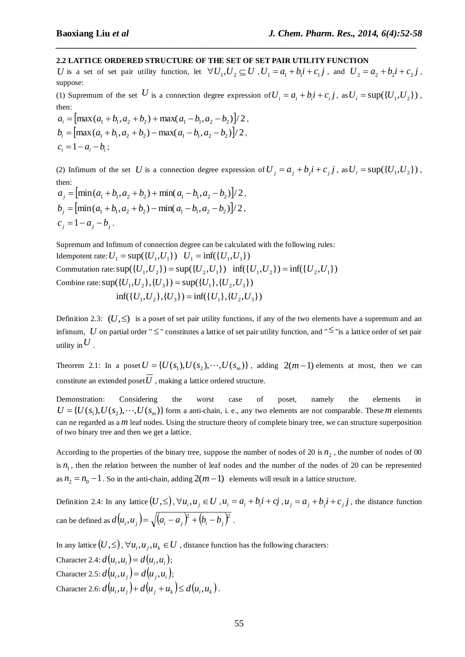# **2.2 LATTICE ORDERED STRUCTURE OF THE SET OF SET PAIR UTILITY FUNCTION**

*U* is a set of set pair utility function, let  $\forall U_1, U_2 \subseteq U$ ,  $U_1 = a_1 + b_1 i + c_1 j$ , and  $U_2 = a_2 + b_2 i + c_2 j$ , suppose:

*\_\_\_\_\_\_\_\_\_\_\_\_\_\_\_\_\_\_\_\_\_\_\_\_\_\_\_\_\_\_\_\_\_\_\_\_\_\_\_\_\_\_\_\_\_\_\_\_\_\_\_\_\_\_\_\_\_\_\_\_\_\_\_\_\_\_\_\_\_\_\_\_\_\_\_\_\_*

(1) Supremum of the set U is a connection degree expression of  $U_i = a_i + b_i i + c_i j$ , as  $U_i = \sup(\{U_1, U_2\})$ , then:

 $a_i = [\max(a_1 + b_1, a_2 + b_2) + \max(a_1 - b_1, a_2 - b_2)]/2$ ,  $b_i = \left[\max(a_1 + b_1, a_2 + b_2) - \max(a_1 - b_1, a_2 - b_2)\right]/2$ ,  $c_i = 1 - a_i - b_i;$ 

(2) Infimum of the set U is a connection degree expression of  $U_j = a_j + b_j i + c_j j$ , as  $U_i = \sup\{U_1, U_2\}$ , then:

 $a_j = \left[ \min(a_1 + b_1, a_2 + b_2) + \min(a_1 - b_1, a_2 - b_2) \right]$ /2,  $b_j = \left[\min(a_1 + b_1, a_2 + b_2) - \min(a_1 - b_1, a_2 - b_2)\right]/2$ ,  $c_j = 1 - a_j - b_j$ .

Supremum and Infimum of connection degree can be calculated with the following [rules](app:ds:rule): Idempotent rate:  $U_1 = \sup(\{U_1, U_1\}) \quad U_1 = \inf(\{U_1, U_1\})$ Commutation rate:  $sup({U_1, U_2}) = sup({U_2, U_1})$  inf( ${U_1, U_2}) = inf({U_2, U_1})$ Combine rate:  $sup({U_1, U_2}, {U_3}) = sup({U_1}, {U_2, U_3})$  $\inf({ U_1, U_2 }, { U_3 } ) = \inf({ U_1 },{ U_2 }, U_3 )$ 

Definition 2.3:  $(U,\le)$  is a poset of set pair utility functions, if any of the two elements have a supremum and an infimum, U on partial order " $\leq$ " constitutes a lattice of set pair utility function, and " $\leq$ " is a lattice order of set pair utility in  $U$  .

Theorem 2.1: In a poset  $U = \{U(s_1), U(s_2), \dots, U(s_m)\}\$ , adding  $2(m-1)$  elements at most, then we can constitute an extended poset  $U$  , making a lattice ordered structure.

Demonstration: Considering the worst case of poset, namely the elements in  $U = \{U(s_1), U(s_2), \dots, U(s_m)\}\$ form a anti-chain, i. e., any two elements are not comparable. These *m* elements can ne regarded as a *m* leaf nodes. Using the structure theory of complete binary tree, we can structure superposition of two binary tree and then we get a lattice.

According to the properties of the binary tree, suppose the number of nodes of 20 is  $n<sub>2</sub>$ , the number of nodes of 00 is  $n_1$ , then the relation between the number of leaf nodes and the number of the nodes of 20 can be represented as  $n_2 = n_0 - 1$ . So in the anti-chain, adding  $2(m-1)$  elements will result in a lattice structure.

Definition 2.4: In any lattice  $(U,\leq)$ ,  $\forall u_i, u_j \in U$ ,  $u_i = a_i + b_i i + cj$ ,  $u_j = a_j + b_j i + c_j j$ , the distance function can be defined as  $d(u_i, u_j) = \sqrt{(a_i - a_j)^2 + (b_i - b_j)^2}$  .

In any lattice  $(U, \leq), \forall u_i, u_j, u_k \in U$  , distance function has the following characters: Character 2.4:  $d(u_i, u_i) = d(u_i, u_i);$ Character 2.5:  $d(u_i, u_j) = d(u_j, u_i)$ ; Character 2.6:  $d(u_i, u_j) + d(u_j + u_k) \le d(u_i, u_k)$ .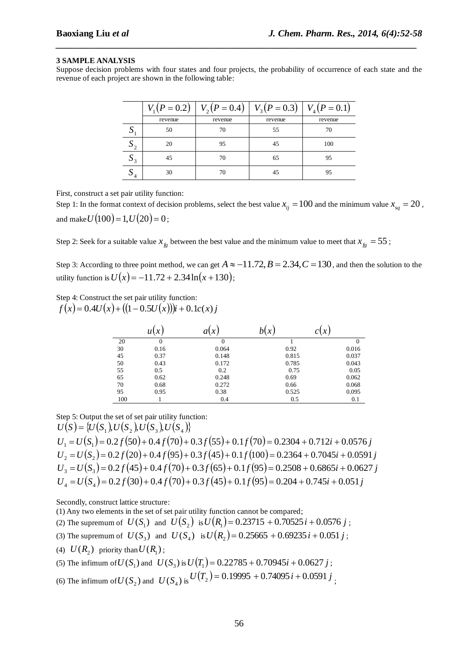#### **3 SAMPLE ANALYSIS**

Suppose decision problems with four states and four projects, the probability of occurrence of each state and the revenue of each project are shown in the following table:

*\_\_\_\_\_\_\_\_\_\_\_\_\_\_\_\_\_\_\_\_\_\_\_\_\_\_\_\_\_\_\_\_\_\_\_\_\_\_\_\_\_\_\_\_\_\_\_\_\_\_\_\_\_\_\_\_\_\_\_\_\_\_\_\_\_\_\_\_\_\_\_\_\_\_\_\_\_*

|                | $V_1(P=0.2)$ | $V_2(P=0.4)$ | $V_3(P=0.3)$ | $V_4(P=0.1)$ |
|----------------|--------------|--------------|--------------|--------------|
|                | revenue      | revenue      | revenue      | revenue      |
| IJ             | 50           | 70           | 55           | 70           |
| $\mathbf{v}_2$ | 20           | 95           | 45           | 100          |
| $\mathsf{u}_3$ | 45           | 70           | 65           | 95           |
| ມ              | 30           | 70           | 45           | 95           |

First, construct a set pair utility function:

Step 1: In the format context of decision problems, select the best value  $x_{ij} = 100$  and the minimum value  $x_{sq} = 20$ , and make  $U(100)$  = 1,  $U(20)$  = 0;

Step 2: Seek for a suitable value  $x_{fg}$  between the best value and the minimum value to meet that  $x_{fg} = 55$ ;

Step 3: According to three point method, we can get  $A \approx -11.72$ ,  $B = 2.34$ ,  $C = 130$ , and then the solution to the utility function is  $U(x) = -11.72 + 2.34 \ln(x + 130)$ ;

Step 4: Construct the set pair utility function:

 $f(x) = 0.4U(x) + ((1 - 0.5U(x)))$ *i* + 0.1*c*(*x*) *j* 

|     | u(x)         | a(x)  |       |          |
|-----|--------------|-------|-------|----------|
| 20  | $\mathbf{0}$ |       |       | $\Omega$ |
| 30  | 0.16         | 0.064 | 0.92  | 0.016    |
| 45  | 0.37         | 0.148 | 0.815 | 0.037    |
| 50  | 0.43         | 0.172 | 0.785 | 0.043    |
| 55  | 0.5          | 0.2   | 0.75  | 0.05     |
| 65  | 0.62         | 0.248 | 0.69  | 0.062    |
| 70  | 0.68         | 0.272 | 0.66  | 0.068    |
| 95  | 0.95         | 0.38  | 0.525 | 0.095    |
| 100 |              | 0.4   | 0.5   | 0.1      |

Step 5: Output the set of set pair utility function:

 $U(S) = {U(S_1), U(S_2), U(S_3), U(S_4)}$  $U_1 = U(S_1) = 0.2 f(50) + 0.4 f(70) + 0.3 f(55) + 0.1 f(70) = 0.2304 + 0.712i + 0.0576 j$  $U_2 = U(S_2) = 0.2 f(20) + 0.4 f(95) + 0.3 f(45) + 0.1 f(100) = 0.2364 + 0.7045i + 0.0591j$  $U_3 = U(S_3) = 0.2 f(45) + 0.4 f(70) + 0.3 f(65) + 0.1 f(95) = 0.2508 + 0.6865i + 0.0627j$  $U_4 = U(S_4) = 0.2 f(30) + 0.4 f(70) + 0.3 f(45) + 0.1 f(95) = 0.204 + 0.745i + 0.051j$ 

Secondly, construct lattice structure:

(1) Any two elements in the set of set pair utility function cannot be compared;

- (2) The supremum of  $U(S_1)$  and  $U(S_2)$  is  $U(R_1) = 0.23715 + 0.70525i + 0.0576j$ ;
- (3) The supremum of  $U(S_3)$  and  $U(S_4)$  is  $U(R_2) = 0.25665 + 0.69235i + 0.051j$ ;
- (4)  $U(R_2)$  priority than  $U(R_1)$ ;

(5) The infimum of  $U(S_1)$  and  $U(S_3)$  is  $U(T_1) = 0.22785 + 0.70945i + 0.0627j$ ;

(6) The infimum of  $U(S_2)$  and  $U(S_4)$  is  $U(T_2) = 0.19995 + 0.74095i + 0.0591j$ ;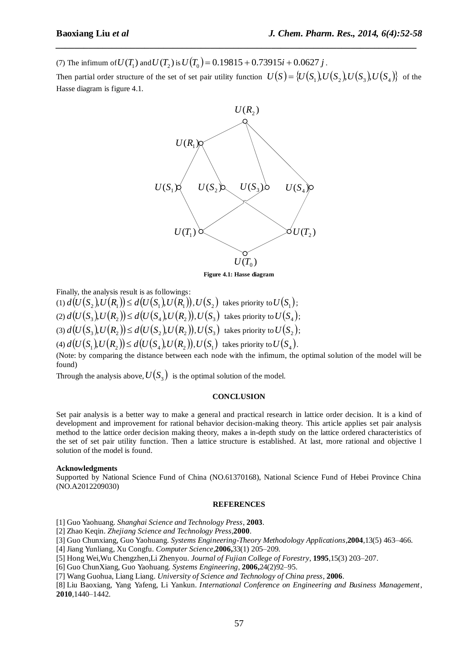(7) The infimum of  $U(T_1)$  and  $U(T_2)$  is  $U(T_0) = 0.19815 + 0.73915i + 0.0627j$ .

Then partial order structure of the set of set pair utility function  $U(S) = \{U(S_1), U(S_2), U(S_3), U(S_4)\}$  of the Hasse diagram is figure 4.1.

*\_\_\_\_\_\_\_\_\_\_\_\_\_\_\_\_\_\_\_\_\_\_\_\_\_\_\_\_\_\_\_\_\_\_\_\_\_\_\_\_\_\_\_\_\_\_\_\_\_\_\_\_\_\_\_\_\_\_\_\_\_\_\_\_\_\_\_\_\_\_\_\_\_\_\_\_\_*



**Figure 4.1: Hasse diagram**

Finally, the analysis result is as followings:

- $\mathcal{U}(I \cup \{S_1\}) \leq d\mathcal{U}(S_1, U \cap \{S_1\}) \leq U(S_1), \mathcal{U}(S_2) \ \ \text{takes priority to $U(S_1)$};$
- $d(U(S_3), U(R_2)) \le d(U(S_4), U(R_2)), U(S_3)$  takes priority to  $U(S_4)$ ;
- $d(U(S_3), U(R_2)) \leq d(U(S_2), U(R_2)), U(S_3)$  takes priority to  $U(S_2)$ ;

 $d(U(S_1),U(R_2)) \leq d(U(S_4),U(R_2)), U(S_1)$  takes priority to  $U(S_4)$ .

(Note: by comparing the distance between each node with the infimum, the optimal solution of the model will be found)

Through the analysis above,  $U(S_3)$  is the optimal solution of the model.

#### **CONCLUSION**

Set pair analysis is a better way to make a general and practical research in lattice order decision. It is a kind of development and improvement for rational behavior decision-making theory. This article applies set pair analysis method to the lattice order decision making theory, makes a in-depth study on the lattice ordered characteristics of the set of set pair utility function. Then a lattice structure is established. At last, more rational and objective l solution of the model is found.

# **Acknowledgments**

Supported by National Science Fund of China (NO.61370168), National Science Fund of Hebei Province China (NO.A2012209030)

#### **REFERENCES**

[1] Guo Yaohuang. *Shanghai Science and Technology Press*, **2003**.

[2] Zhao Keqin. *Zhejiang Science and Technology Press*,**2000**.

[3] Guo Chunxiang, Guo Yaohuang. *Systems Engineering-Theory Methodology Applications*,**2004**,13(5) 463–466.

[4] Jiang Yunliang, Xu Congfu. *Computer Science*,**2006,**33(1) 205–209.

[5] Hong Wei,Wu Chengzhen,Li Zhenyou. *Journal of Fujian College of Forestry*, **1995**,15(3) 203–207.

[6] Guo ChunXiang, Guo Yaohuang. *Systems Engineering*, **2006,**24(2)92–95.

[7] Wang Guohua, Liang Liang. *University of Science and Technology of China press*, **2006**.

[8] Liu Baoxiang, Yang Yafeng, Li Yankun. *International Conference on Engineering and Business Management*, **2010**,1440–1442.